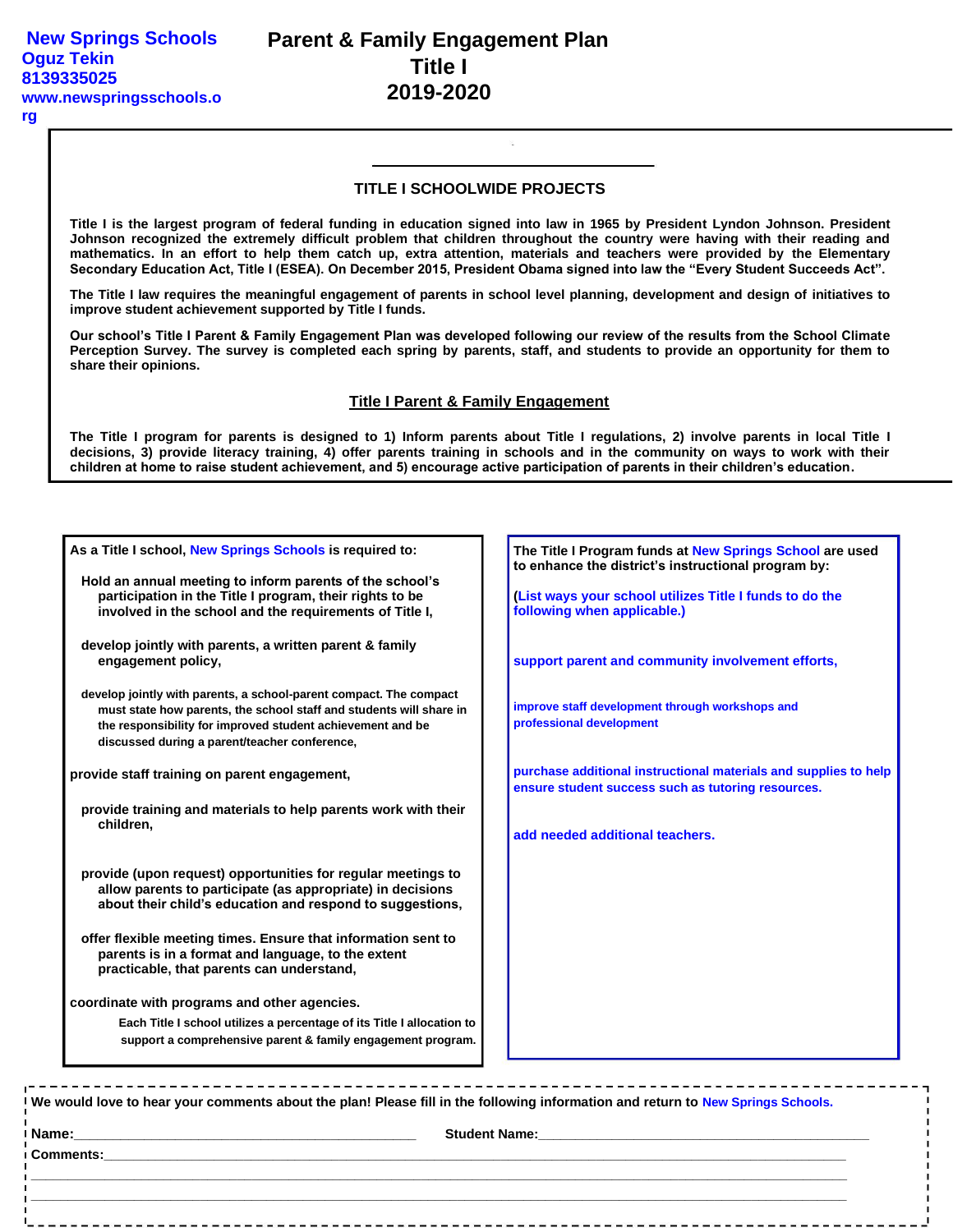#### **rg**

## **TITLE I SCHOOLWIDE PROJECTS**

**Title I is the largest program of federal funding in education signed into law in 1965 by President Lyndon Johnson. President Johnson recognized the extremely difficult problem that children throughout the country were having with their reading and mathematics. In an effort to help them catch up, extra attention, materials and teachers were provided by the Elementary Secondary Education Act, Title I (ESEA). On December 2015, President Obama signed into law the "Every Student Succeeds Act".**

**The Title I law requires the meaningful engagement of parents in school level planning, development and design of initiatives to improve student achievement supported by Title I funds.**

**Our school's Title I Parent & Family Engagement Plan was developed following our review of the results from the School Climate Perception Survey. The survey is completed each spring by parents, staff, and students to provide an opportunity for them to share their opinions.**

### **Title I Parent & Family Engagement**

**The Title I program for parents is designed to 1) Inform parents about Title I regulations, 2) involve parents in local Title I decisions, 3) provide literacy training, 4) offer parents training in schools and in the community on ways to work with their children at home to raise student achievement, and 5) encourage active participation of parents in their children's education.**

| As a Title I school, New Springs Schools is required to:                                                                                                                                                                                                 | The Title I Program funds at New Springs School are used<br>to enhance the district's instructional program by:                                                                                                                     |
|----------------------------------------------------------------------------------------------------------------------------------------------------------------------------------------------------------------------------------------------------------|-------------------------------------------------------------------------------------------------------------------------------------------------------------------------------------------------------------------------------------|
| Hold an annual meeting to inform parents of the school's<br>participation in the Title I program, their rights to be<br>involved in the school and the requirements of Title I,                                                                          | (List ways your school utilizes Title I funds to do the<br>following when applicable.)                                                                                                                                              |
| develop jointly with parents, a written parent & family<br>engagement policy,                                                                                                                                                                            | support parent and community involvement efforts,                                                                                                                                                                                   |
| develop jointly with parents, a school-parent compact. The compact<br>must state how parents, the school staff and students will share in<br>the responsibility for improved student achievement and be<br>discussed during a parent/teacher conference, | improve staff development through workshops and<br>professional development                                                                                                                                                         |
| provide staff training on parent engagement,                                                                                                                                                                                                             | purchase additional instructional materials and supplies to help<br>ensure student success such as tutoring resources.                                                                                                              |
| provide training and materials to help parents work with their<br>children,                                                                                                                                                                              | add needed additional teachers.                                                                                                                                                                                                     |
| provide (upon request) opportunities for regular meetings to<br>allow parents to participate (as appropriate) in decisions<br>about their child's education and respond to suggestions,                                                                  |                                                                                                                                                                                                                                     |
| offer flexible meeting times. Ensure that information sent to<br>parents is in a format and language, to the extent<br>practicable, that parents can understand,                                                                                         |                                                                                                                                                                                                                                     |
| coordinate with programs and other agencies.                                                                                                                                                                                                             |                                                                                                                                                                                                                                     |
| Each Title I school utilizes a percentage of its Title I allocation to<br>support a comprehensive parent & family engagement program.                                                                                                                    |                                                                                                                                                                                                                                     |
| -----------------------------------<br>We would love to hear your comments about the plan! Please fill in the following information and return to New Springs Schools.                                                                                   |                                                                                                                                                                                                                                     |
|                                                                                                                                                                                                                                                          |                                                                                                                                                                                                                                     |
|                                                                                                                                                                                                                                                          | <b>Comments: Exercísion Comments:</b> And Comments: And Comments: And Comments: And Comments: And Comments: And Comments: And Comments: And Comments: And Comments: And Comments: And Comments: And Comments: And Comments: And Com |